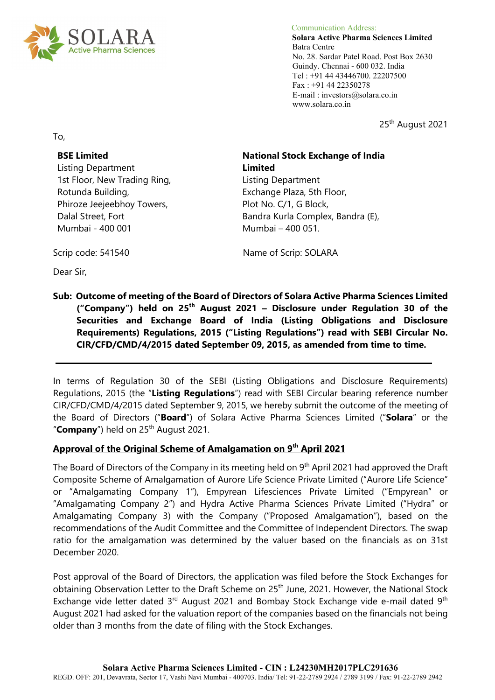

 Communication Address: **Solara Active Pharma Sciences Limited** Batra Centre No. 28. Sardar Patel Road. Post Box 2630 Guindy. Chennai - 600 032. India Tel : +91 44 43446700. 22207500 Fax : +91 44 22350278 E-mail : investors@solara.co.in www.solara.co.in

25<sup>th</sup> August 2021

To,

# **BSE Limited**

Listing Department 1st Floor, New Trading Ring, Rotunda Building, Phiroze Jeejeebhoy Towers, Dalal Street, Fort Mumbai - 400 001

#### **National Stock Exchange of India Limited**

Listing Department Exchange Plaza, 5th Floor, Plot No. C/1, G Block, Bandra Kurla Complex, Bandra (E), Mumbai – 400 051.

Scrip code: 541540 Name of Scrip: SOLARA

Dear Sir,

# **Sub: Outcome of meeting of the Board of Directors of Solara Active Pharma Sciences Limited ("Company") held on 25th August 2021 – Disclosure under Regulation 30 of the Securities and Exchange Board of India (Listing Obligations and Disclosure Requirements) Regulations, 2015 ("Listing Regulations") read with SEBI Circular No. CIR/CFD/CMD/4/2015 dated September 09, 2015, as amended from time to time.**

In terms of Regulation 30 of the SEBI (Listing Obligations and Disclosure Requirements) Regulations, 2015 (the "**Listing Regulations**") read with SEBI Circular bearing reference number CIR/CFD/CMD/4/2015 dated September 9, 2015, we hereby submit the outcome of the meeting of the Board of Directors ("**Board**") of Solara Active Pharma Sciences Limited ("**Solara**" or the "**Company**") held on 25<sup>th</sup> August 2021.

# **Approval of the Original Scheme of Amalgamation on 9th April 2021**

The Board of Directors of the Company in its meeting held on 9<sup>th</sup> April 2021 had approved the Draft Composite Scheme of Amalgamation of Aurore Life Science Private Limited ("Aurore Life Science" or "Amalgamating Company 1"), Empyrean Lifesciences Private Limited ("Empyrean" or "Amalgamating Company 2") and Hydra Active Pharma Sciences Private Limited ("Hydra" or Amalgamating Company 3) with the Company ("Proposed Amalgamation"), based on the recommendations of the Audit Committee and the Committee of Independent Directors. The swap ratio for the amalgamation was determined by the valuer based on the financials as on 31st December 2020.

Post approval of the Board of Directors, the application was filed before the Stock Exchanges for obtaining Observation Letter to the Draft Scheme on 25<sup>th</sup> June, 2021. However, the National Stock Exchange vide letter dated 3rd August 2021 and Bombay Stock Exchange vide e-mail dated 9<sup>th</sup> August 2021 had asked for the valuation report of the companies based on the financials not being older than 3 months from the date of filing with the Stock Exchanges.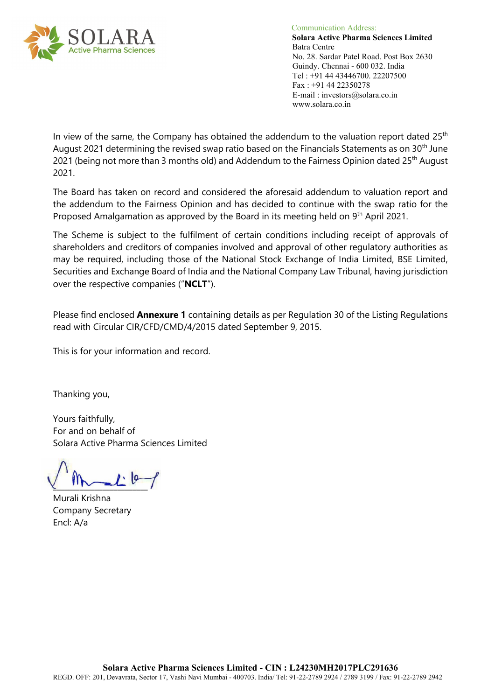

 Communication Address: **Solara Active Pharma Sciences Limited** Batra Centre No. 28. Sardar Patel Road. Post Box 2630 Guindy. Chennai - 600 032. India Tel : +91 44 43446700. 22207500 Fax : +91 44 22350278 E-mail : investors@solara.co.in www.solara.co.in

In view of the same, the Company has obtained the addendum to the valuation report dated  $25<sup>th</sup>$ August 2021 determining the revised swap ratio based on the Financials Statements as on 30<sup>th</sup> June 2021 (being not more than 3 months old) and Addendum to the Fairness Opinion dated 25<sup>th</sup> August 2021.

The Board has taken on record and considered the aforesaid addendum to valuation report and the addendum to the Fairness Opinion and has decided to continue with the swap ratio for the Proposed Amalgamation as approved by the Board in its meeting held on 9<sup>th</sup> April 2021.

The Scheme is subject to the fulfilment of certain conditions including receipt of approvals of shareholders and creditors of companies involved and approval of other regulatory authorities as may be required, including those of the National Stock Exchange of India Limited, BSE Limited, Securities and Exchange Board of India and the National Company Law Tribunal, having jurisdiction over the respective companies ("**NCLT**").

Please find enclosed **Annexure 1** containing details as per Regulation 30 of the Listing Regulations read with Circular CIR/CFD/CMD/4/2015 dated September 9, 2015.

This is for your information and record.

Thanking you,

Yours faithfully, For and on behalf of Solara Active Pharma Sciences Limited

 $\frac{1}{2}$ 

Murali Krishna Company Secretary Encl: A/a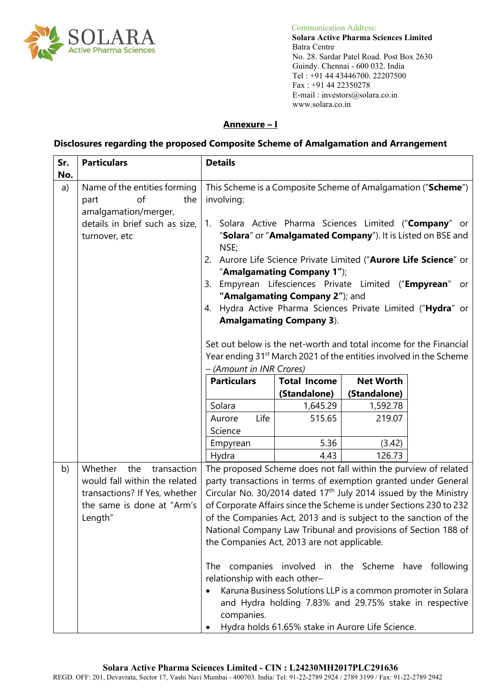

Communication Address:

 **Solara Active Pharma Sciences Limited** No. 28. Sardar Patel Road. Post Box 2630 Guindy. Chennai - 600 032. India Tel : +91 44 43446700. 22207500 Fax : +91 44 22350278 E-mail : investors@solara.co.in www.solara.co.in

#### **Annexure – I**

#### **Disclosures regarding the proposed Composite Scheme of Amalgamation and Arrangement**

| Sr.<br>No. | <b>Particulars</b>                                                                                                                       | <b>Details</b>                                                                                                                                                                                                                                                                                                                                                                                                                                                                                                                                                                          |                                                                                                                                                                            |                                  |  |
|------------|------------------------------------------------------------------------------------------------------------------------------------------|-----------------------------------------------------------------------------------------------------------------------------------------------------------------------------------------------------------------------------------------------------------------------------------------------------------------------------------------------------------------------------------------------------------------------------------------------------------------------------------------------------------------------------------------------------------------------------------------|----------------------------------------------------------------------------------------------------------------------------------------------------------------------------|----------------------------------|--|
| a)         | Name of the entities forming<br>of<br>the<br>part<br>amalgamation/merger,<br>details in brief such as size,<br>turnover, etc             | This Scheme is a Composite Scheme of Amalgamation ("Scheme")<br>involving:<br>Solara Active Pharma Sciences Limited ("Company" or<br>1.<br>"Solara" or "Amalgamated Company"). It is Listed on BSE and<br>NSE;<br>2. Aurore Life Science Private Limited ("Aurore Life Science" or<br>"Amalgamating Company 1");<br>3. Empyrean Lifesciences Private Limited ("Empyrean" or<br>"Amalgamating Company 2"); and<br>Hydra Active Pharma Sciences Private Limited ("Hydra" or<br>4.<br><b>Amalgamating Company 3).</b><br>Set out below is the net-worth and total income for the Financial |                                                                                                                                                                            |                                  |  |
|            |                                                                                                                                          | Year ending 31 <sup>st</sup> March 2021 of the entities involved in the Scheme<br>- (Amount in INR Crores)                                                                                                                                                                                                                                                                                                                                                                                                                                                                              |                                                                                                                                                                            |                                  |  |
|            |                                                                                                                                          | <b>Particulars</b>                                                                                                                                                                                                                                                                                                                                                                                                                                                                                                                                                                      | <b>Total Income</b><br>(Standalone)                                                                                                                                        | <b>Net Worth</b><br>(Standalone) |  |
|            |                                                                                                                                          | Solara                                                                                                                                                                                                                                                                                                                                                                                                                                                                                                                                                                                  | 1,645.29                                                                                                                                                                   | 1,592.78                         |  |
|            |                                                                                                                                          | Life<br>Aurore<br>Science                                                                                                                                                                                                                                                                                                                                                                                                                                                                                                                                                               | 515.65                                                                                                                                                                     | 219.07                           |  |
|            |                                                                                                                                          | Empyrean                                                                                                                                                                                                                                                                                                                                                                                                                                                                                                                                                                                | 5.36                                                                                                                                                                       | (3.42)                           |  |
|            |                                                                                                                                          | Hydra                                                                                                                                                                                                                                                                                                                                                                                                                                                                                                                                                                                   | 4.43                                                                                                                                                                       | 126.73                           |  |
| b)         | Whether<br>the<br>transaction<br>would fall within the related<br>transactions? If Yes, whether<br>the same is done at "Arm's<br>Length" | The proposed Scheme does not fall within the purview of related<br>party transactions in terms of exemption granted under General<br>Circular No. 30/2014 dated 17 <sup>th</sup> July 2014 issued by the Ministry<br>of Corporate Affairs since the Scheme is under Sections 230 to 232<br>of the Companies Act, 2013 and is subject to the sanction of the<br>National Company Law Tribunal and provisions of Section 188 of<br>the Companies Act, 2013 are not applicable.<br>The companies involved in the Scheme have following<br>relationship with each other-<br>companies.      | Karuna Business Solutions LLP is a common promoter in Solara<br>and Hydra holding 7.83% and 29.75% stake in respective<br>Hydra holds 61.65% stake in Aurore Life Science. |                                  |  |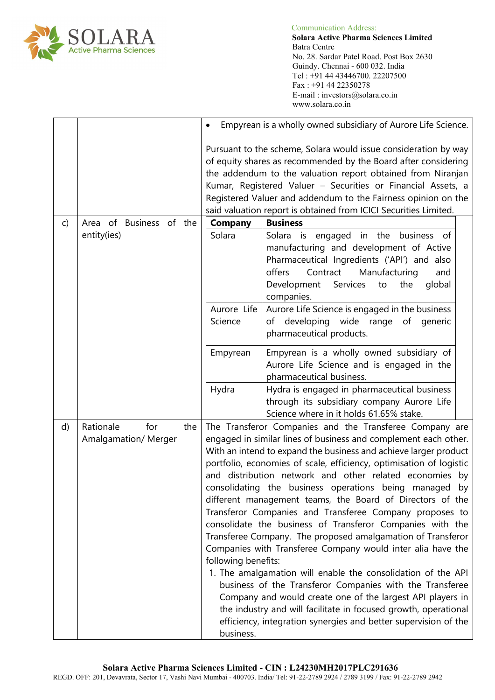

 **Solara Active Pharma Sciences Limited** Batra Centre No. 28. Sardar Patel Road. Post Box 2630 Guindy. Chennai - 600 032. India Tel : +91 44 43446700. 22207500 Fax : +91 44 22350278 E-mail : investors@solara.co.in www.solara.co.in

|              |                                         |     | Empyrean is a wholly owned subsidiary of Aurore Life Science.                                                                                                                                                                                                                                                                                                                                                                                                                                                                                                                                                                                                                                                                                                                                                                                                                                                                                                                                                                                                                        |                                                                                                                                                                                                                                                 |  |  |  |
|--------------|-----------------------------------------|-----|--------------------------------------------------------------------------------------------------------------------------------------------------------------------------------------------------------------------------------------------------------------------------------------------------------------------------------------------------------------------------------------------------------------------------------------------------------------------------------------------------------------------------------------------------------------------------------------------------------------------------------------------------------------------------------------------------------------------------------------------------------------------------------------------------------------------------------------------------------------------------------------------------------------------------------------------------------------------------------------------------------------------------------------------------------------------------------------|-------------------------------------------------------------------------------------------------------------------------------------------------------------------------------------------------------------------------------------------------|--|--|--|
|              |                                         |     | Pursuant to the scheme, Solara would issue consideration by way<br>of equity shares as recommended by the Board after considering<br>the addendum to the valuation report obtained from Niranjan<br>Kumar, Registered Valuer - Securities or Financial Assets, a<br>Registered Valuer and addendum to the Fairness opinion on the<br>said valuation report is obtained from ICICI Securities Limited.                                                                                                                                                                                                                                                                                                                                                                                                                                                                                                                                                                                                                                                                                |                                                                                                                                                                                                                                                 |  |  |  |
| $\mathsf{C}$ | Area of Business of the                 |     |                                                                                                                                                                                                                                                                                                                                                                                                                                                                                                                                                                                                                                                                                                                                                                                                                                                                                                                                                                                                                                                                                      | <b>Business</b><br><b>Company</b>                                                                                                                                                                                                               |  |  |  |
|              | entity(ies)                             |     | Solara                                                                                                                                                                                                                                                                                                                                                                                                                                                                                                                                                                                                                                                                                                                                                                                                                                                                                                                                                                                                                                                                               | Solara is engaged in the<br>business of<br>manufacturing and development of Active<br>Pharmaceutical Ingredients ('API') and also<br>Contract<br>Manufacturing<br>offers<br>and<br>global<br>Development<br>Services<br>to<br>the<br>companies. |  |  |  |
|              |                                         |     | Aurore Life                                                                                                                                                                                                                                                                                                                                                                                                                                                                                                                                                                                                                                                                                                                                                                                                                                                                                                                                                                                                                                                                          | Aurore Life Science is engaged in the business                                                                                                                                                                                                  |  |  |  |
|              |                                         |     | Science                                                                                                                                                                                                                                                                                                                                                                                                                                                                                                                                                                                                                                                                                                                                                                                                                                                                                                                                                                                                                                                                              | of developing wide range of generic<br>pharmaceutical products.                                                                                                                                                                                 |  |  |  |
|              |                                         |     | Empyrean                                                                                                                                                                                                                                                                                                                                                                                                                                                                                                                                                                                                                                                                                                                                                                                                                                                                                                                                                                                                                                                                             | Empyrean is a wholly owned subsidiary of<br>Aurore Life Science and is engaged in the<br>pharmaceutical business.                                                                                                                               |  |  |  |
|              |                                         |     | Hydra                                                                                                                                                                                                                                                                                                                                                                                                                                                                                                                                                                                                                                                                                                                                                                                                                                                                                                                                                                                                                                                                                | Hydra is engaged in pharmaceutical business<br>through its subsidiary company Aurore Life<br>Science where in it holds 61.65% stake.                                                                                                            |  |  |  |
| d)           | Rationale<br>for<br>Amalgamation/Merger | the | The Transferor Companies and the Transferee Company are<br>engaged in similar lines of business and complement each other.<br>With an intend to expand the business and achieve larger product<br>portfolio, economies of scale, efficiency, optimisation of logistic<br>distribution network and other related economies by<br>and<br>consolidating the business operations being managed by<br>different management teams, the Board of Directors of the<br>Transferor Companies and Transferee Company proposes to<br>consolidate the business of Transferor Companies with the<br>Transferee Company. The proposed amalgamation of Transferor<br>Companies with Transferee Company would inter alia have the<br>following benefits:<br>1. The amalgamation will enable the consolidation of the API<br>business of the Transferor Companies with the Transferee<br>Company and would create one of the largest API players in<br>the industry and will facilitate in focused growth, operational<br>efficiency, integration synergies and better supervision of the<br>business. |                                                                                                                                                                                                                                                 |  |  |  |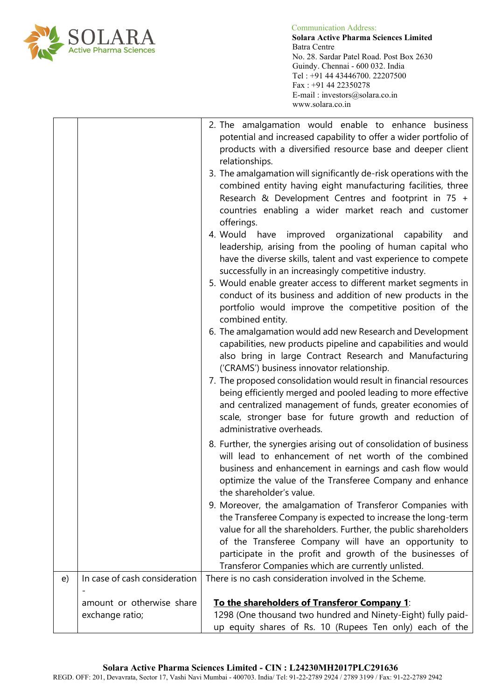

 **Solara Active Pharma Sciences Limited** Batra Centre No. 28. Sardar Patel Road. Post Box 2630 Guindy. Chennai - 600 032. India Tel : +91 44 43446700. 22207500 Fax : +91 44 22350278 E-mail : investors@solara.co.in www.solara.co.in

|    |                               | 2. The amalgamation would enable to enhance business<br>potential and increased capability to offer a wider portfolio of<br>products with a diversified resource base and deeper client<br>relationships.<br>3. The amalgamation will significantly de-risk operations with the<br>combined entity having eight manufacturing facilities, three<br>Research & Development Centres and footprint in 75 +<br>countries enabling a wider market reach and customer<br>offerings.<br>4. Would have<br>organizational<br>improved<br>capability<br>and<br>leadership, arising from the pooling of human capital who<br>have the diverse skills, talent and vast experience to compete<br>successfully in an increasingly competitive industry.<br>5. Would enable greater access to different market segments in<br>conduct of its business and addition of new products in the<br>portfolio would improve the competitive position of the<br>combined entity.<br>6. The amalgamation would add new Research and Development<br>capabilities, new products pipeline and capabilities and would<br>also bring in large Contract Research and Manufacturing<br>('CRAMS') business innovator relationship.<br>7. The proposed consolidation would result in financial resources<br>being efficiently merged and pooled leading to more effective<br>and centralized management of funds, greater economies of<br>scale, stronger base for future growth and reduction of |
|----|-------------------------------|------------------------------------------------------------------------------------------------------------------------------------------------------------------------------------------------------------------------------------------------------------------------------------------------------------------------------------------------------------------------------------------------------------------------------------------------------------------------------------------------------------------------------------------------------------------------------------------------------------------------------------------------------------------------------------------------------------------------------------------------------------------------------------------------------------------------------------------------------------------------------------------------------------------------------------------------------------------------------------------------------------------------------------------------------------------------------------------------------------------------------------------------------------------------------------------------------------------------------------------------------------------------------------------------------------------------------------------------------------------------------------------------------------------------------------------------------------------|
|    |                               | administrative overheads.<br>8. Further, the synergies arising out of consolidation of business<br>will lead to enhancement of net worth of the combined<br>business and enhancement in earnings and cash flow would<br>optimize the value of the Transferee Company and enhance<br>the shareholder's value.<br>9. Moreover, the amalgamation of Transferor Companies with                                                                                                                                                                                                                                                                                                                                                                                                                                                                                                                                                                                                                                                                                                                                                                                                                                                                                                                                                                                                                                                                                       |
|    |                               | the Transferee Company is expected to increase the long-term<br>value for all the shareholders. Further, the public shareholders<br>of the Transferee Company will have an opportunity to<br>participate in the profit and growth of the businesses of<br>Transferor Companies which are currently unlisted.                                                                                                                                                                                                                                                                                                                                                                                                                                                                                                                                                                                                                                                                                                                                                                                                                                                                                                                                                                                                                                                                                                                                                     |
| e) | In case of cash consideration | There is no cash consideration involved in the Scheme.                                                                                                                                                                                                                                                                                                                                                                                                                                                                                                                                                                                                                                                                                                                                                                                                                                                                                                                                                                                                                                                                                                                                                                                                                                                                                                                                                                                                           |
|    | amount or otherwise share     | To the shareholders of Transferor Company 1:                                                                                                                                                                                                                                                                                                                                                                                                                                                                                                                                                                                                                                                                                                                                                                                                                                                                                                                                                                                                                                                                                                                                                                                                                                                                                                                                                                                                                     |
|    | exchange ratio;               | 1298 (One thousand two hundred and Ninety-Eight) fully paid-                                                                                                                                                                                                                                                                                                                                                                                                                                                                                                                                                                                                                                                                                                                                                                                                                                                                                                                                                                                                                                                                                                                                                                                                                                                                                                                                                                                                     |
|    |                               | up equity shares of Rs. 10 (Rupees Ten only) each of the                                                                                                                                                                                                                                                                                                                                                                                                                                                                                                                                                                                                                                                                                                                                                                                                                                                                                                                                                                                                                                                                                                                                                                                                                                                                                                                                                                                                         |